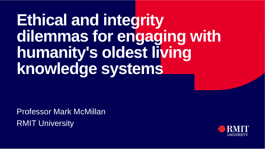# **Ethical and integrity dilemmas for engaging with humanity's oldest living knowledge systems**

Professor Mark McMillanRMIT University

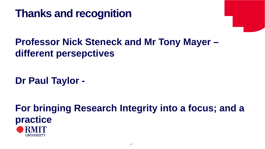

### **Professor Nick Steneck and Mr Tony Mayer – different persepctives**

**Dr Paul Taylor -**

**For bringing Research Integrity into a focus; and a practice**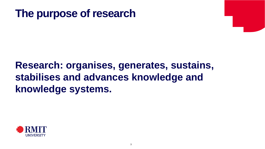## **The purpose of research**

### **Research: organises, generates, sustains, stabilises and advances knowledge and knowledge systems.**

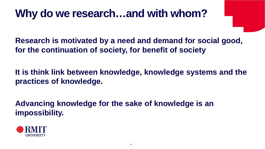## **Why do we research…and with whom?**

**Research is motivated by a need and demand for social good, for the continuation of society, for benefit of society**

**It is think link between knowledge, knowledge systems and the practices of knowledge.**

**Advancing knowledge for the sake of knowledge is an impossibility.**

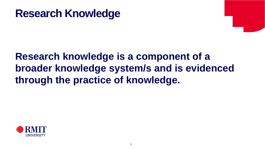### **Research Knowledge**

### **Research knowledge is a component of a broader knowledge system/s and is evidenced through the practice of knowledge.**

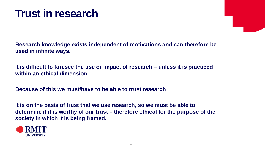## **Trust in research**

**Research knowledge exists independent of motivations and can therefore be used in infinite ways.**

**It is difficult to foresee the use or impact of research – unless it is practiced within an ethical dimension.**

**Because of this we must/have to be able to trust research**

**It is on the basis of trust that we use research, so we must be able to determine if it is worthy of our trust – therefore ethical for the purpose of the society in which it is being framed.**

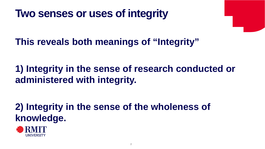## **Two senses or uses of integrity**

**This reveals both meanings of "Integrity"**

### **1) Integrity in the sense of research conducted or administered with integrity.**

### **2) Integrity in the sense of the wholeness of knowledge.**

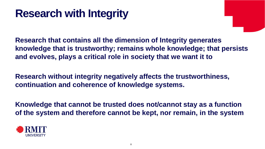## **Research with Integrity**

**Research that contains all the dimension of Integrity generates knowledge that is trustworthy; remains whole knowledge; that persists and evolves, plays a critical role in society that we want it to**

**Research without integrity negatively affects the trustworthiness, continuation and coherence of knowledge systems.**

**Knowledge that cannot be trusted does not/cannot stay as a function of the system and therefore cannot be kept, nor remain, in the system**

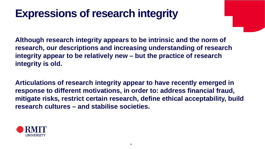## **Expressions of research integrity**

**Although research integrity appears to be intrinsic and the norm of research, our descriptions and increasing understanding of research integrity appear to be relatively new – but the practice of research integrity is old.**

**Articulations of research integrity appear to have recently emerged in response to different motivations, in order to: address financial fraud, mitigate risks, restrict certain research, define ethical acceptability, build research cultures – and stabilise societies.**

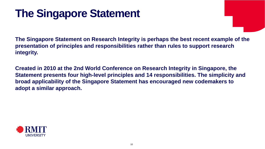## **The Singapore Statement**

**The Singapore Statement on Research Integrity is perhaps the best recent example of the presentation of principles and responsibilities rather than rules to support research integrity.** 

**Created in 2010 at the 2nd World Conference on Research Integrity in Singapore, the Statement presents four high-level principles and 14 responsibilities. The simplicity and broad applicability of the Singapore Statement has encouraged new codemakers to adopt a similar approach.** 

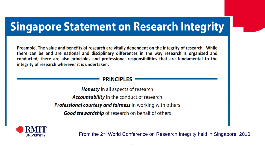## **Singapore Statement on Research Integrity**

Preamble. The value and benefits of research are vitally dependent on the integrity of research. While there can be and are national and disciplinary differences in the way research is organized and conducted, there are also principles and professional responsibilities that are fundamental to the integrity of research wherever it is undertaken.

#### **PRINCIPLES**

**Honesty** in all aspects of research **Accountability** in the conduct of research **Professional courtesy and fairness** in working with others **Good stewardship** of research on behalf of others



From the 2nd World Conference on Research Integrity held in Singapore, 2010.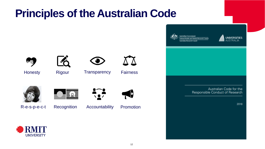## **Principles of the Australian Code**





Honesty Rigour Transparency Fairness







Respect R-e-s-p-e-c-t Recognition Accountability Promotion



**O** 





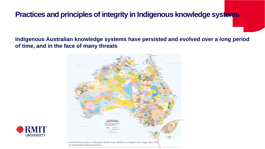#### **Practices and principles of integrity in Indigenous knowledge systems**

**Indigenous Australian knowledge systems have persisted and evolved over a long period of time, and in the face of many threats**





David R Horton (creator), © Aboriginal Studies Press, AIATSIS, and Auslig/Sinclair, Knight, Merz, 1996 No reproduction without permission.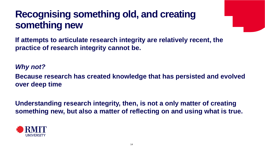### **Recognising something old, and creating something new**

**If attempts to articulate research integrity are relatively recent, the practice of research integrity cannot be.**

*Why not?* 

**Because research has created knowledge that has persisted and evolved over deep time**

**Understanding research integrity, then, is not a only matter of creating something new, but also a matter of reflecting on and using what is true.**

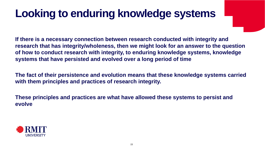## **Looking to enduring knowledge systems**

**If there is a necessary connection between research conducted with integrity and research that has integrity/wholeness, then we might look for an answer to the question of how to conduct research with integrity, to enduring knowledge systems, knowledge systems that have persisted and evolved over a long period of time**

**The fact of their persistence and evolution means that these knowledge systems carried with them principles and practices of research integrity.**

**These principles and practices are what have allowed these systems to persist and evolve**

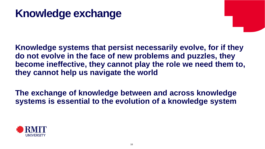## **Knowledge exchange**

**Knowledge systems that persist necessarily evolve, for if they do not evolve in the face of new problems and puzzles, they become ineffective, they cannot play the role we need them to, they cannot help us navigate the world**

**The exchange of knowledge between and across knowledge systems is essential to the evolution of a knowledge system**

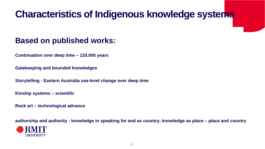### **Characteristics of Indigenous knowledge systems**

#### **Based on published works:**

**Continuation over deep time – 120,000 years**

**Gatekeeping and bounded knowledges** 

**Storytelling - Eastern Australia sea-level change over deep time**

**Kinship systems – scientific** 

**Rock art – technological advance**

**authorship and authority - knowledge in speaking for and as country; knowledge as place – place and country**

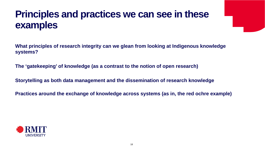### **Principles and practices we can see in these examples**

**What principles of research integrity can we glean from looking at Indigenous knowledge systems?**

**The 'gatekeeping' of knowledge (as a contrast to the notion of open research)**

**Storytelling as both data management and the dissemination of research knowledge** 

**Practices around the exchange of knowledge across systems (as in, the red ochre example)**

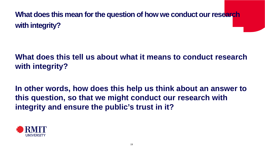**What does this mean for the question of how we conduct our research with integrity?**

#### **What does this tell us about what it means to conduct research with integrity?**

**In other words, how does this help us think about an answer to this question, so that we might conduct our research with integrity and ensure the public's trust in it?**

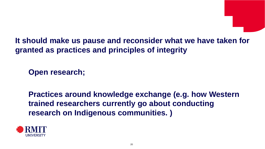

**It should make us pause and reconsider what we have taken for granted as practices and principles of integrity**

**Open research;** 

**Practices around knowledge exchange (e.g. how Western trained researchers currently go about conducting research on Indigenous communities. )**

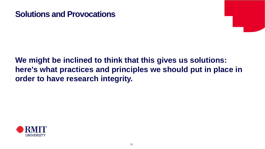#### **Solutions and Provocations**

#### **We might be inclined to think that this gives us solutions: here's what practices and principles we should put in place in order to have research integrity.**

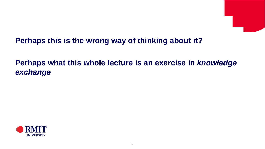

#### **Perhaps this is the wrong way of thinking about it?**

#### **Perhaps what this whole lecture is an exercise in** *knowledge exchange*

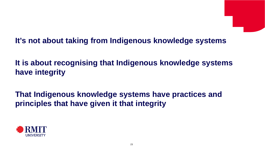#### **It's not about taking from Indigenous knowledge systems**

**It is about recognising that Indigenous knowledge systems have integrity**

**That Indigenous knowledge systems have practices and principles that have given it that integrity**